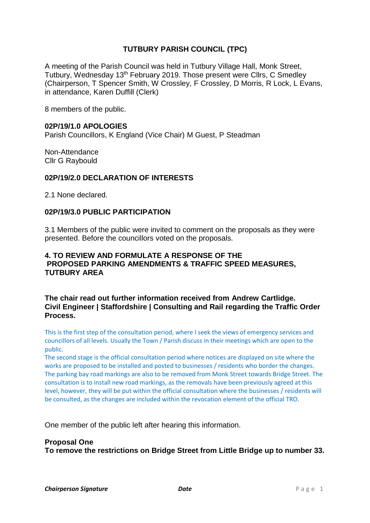# **TUTBURY PARISH COUNCIL (TPC)**

A meeting of the Parish Council was held in Tutbury Village Hall, Monk Street, Tutbury, Wednesday 13th February 2019. Those present were Cllrs, C Smedley (Chairperson, T Spencer Smith, W Crossley, F Crossley, D Morris, R Lock, L Evans, in attendance, Karen Duffill (Clerk)

8 members of the public.

### **02P/19/1.0 APOLOGIES**

Parish Councillors, K England (Vice Chair) M Guest, P Steadman

Non-Attendance Cllr G Raybould

### **02P/19/2.0 DECLARATION OF INTERESTS**

2.1 None declared.

#### **02P/19/3.0 PUBLIC PARTICIPATION**

3.1 Members of the public were invited to comment on the proposals as they were presented. Before the councillors voted on the proposals.

# **4. TO REVIEW AND FORMULATE A RESPONSE OF THE PROPOSED PARKING AMENDMENTS & TRAFFIC SPEED MEASURES, TUTBURY AREA**

### **The chair read out further information received from Andrew Cartlidge. Civil Engineer | Staffordshire | Consulting and Rail regarding the Traffic Order Process.**

This is the first step of the consultation period, where I seek the views of emergency services and councillors of all levels. Usually the Town / Parish discuss in their meetings which are open to the public.

The second stage is the official consultation period where notices are displayed on site where the works are proposed to be installed and posted to businesses / residents who border the changes. The parking bay road markings are also to be removed from Monk Street towards Bridge Street. The consultation is to install new road markings, as the removals have been previously agreed at this level, however, they will be put within the official consultation where the businesses / residents will be consulted, as the changes are included within the revocation element of the official TRO.

One member of the public left after hearing this information.

### **Proposal One**

**To remove the restrictions on Bridge Street from Little Bridge up to number 33.**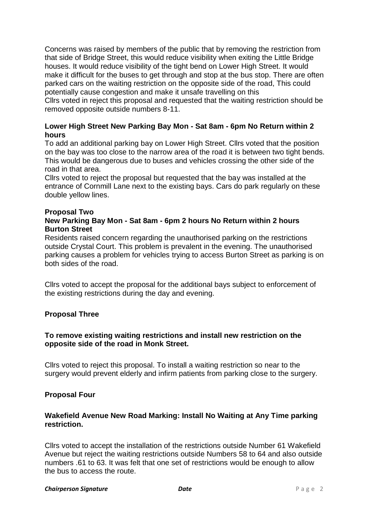Concerns was raised by members of the public that by removing the restriction from that side of Bridge Street, this would reduce visibility when exiting the Little Bridge houses. It would reduce visibility of the tight bend on Lower High Street. It would make it difficult for the buses to get through and stop at the bus stop. There are often parked cars on the waiting restriction on the opposite side of the road, This could potentially cause congestion and make it unsafe travelling on this Cllrs voted in reject this proposal and requested that the waiting restriction should be removed opposite outside numbers 8-11.

# **Lower High Street New Parking Bay Mon - Sat 8am - 6pm No Return within 2 hours**

To add an additional parking bay on Lower High Street. Cllrs voted that the position on the bay was too close to the narrow area of the road it is between two tight bends. This would be dangerous due to buses and vehicles crossing the other side of the road in that area.

Cllrs voted to reject the proposal but requested that the bay was installed at the entrance of Cornmill Lane next to the existing bays. Cars do park regularly on these double yellow lines.

### **Proposal Two**

# **New Parking Bay Mon - Sat 8am - 6pm 2 hours No Return within 2 hours Burton Street**

Residents raised concern regarding the unauthorised parking on the restrictions outside Crystal Court. This problem is prevalent in the evening. The unauthorised parking causes a problem for vehicles trying to access Burton Street as parking is on both sides of the road.

Cllrs voted to accept the proposal for the additional bays subject to enforcement of the existing restrictions during the day and evening.

# **Proposal Three**

# **To remove existing waiting restrictions and install new restriction on the opposite side of the road in Monk Street.**

Cllrs voted to reject this proposal. To install a waiting restriction so near to the surgery would prevent elderly and infirm patients from parking close to the surgery.

# **Proposal Four**

# **Wakefield Avenue New Road Marking: Install No Waiting at Any Time parking restriction.**

Cllrs voted to accept the installation of the restrictions outside Number 61 Wakefield Avenue but reject the waiting restrictions outside Numbers 58 to 64 and also outside numbers .61 to 63. It was felt that one set of restrictions would be enough to allow the bus to access the route.